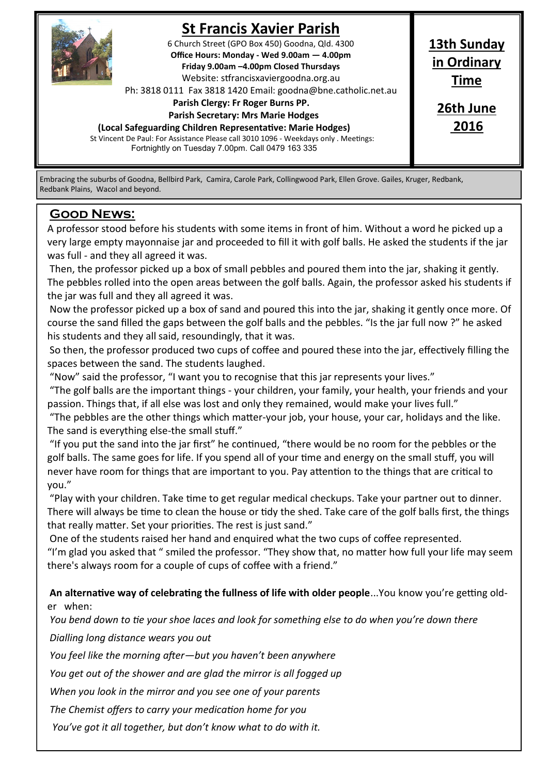

# **St Francis Xavier Parish**

6 Church Street (GPO Box 450) Goodna, Qld. 4300 **Office Hours: Monday - Wed 9.00am — 4.00pm Friday 9.00am –4.00pm Closed Thursdays**  Website: stfrancisxaviergoodna.org.au

Ph: 3818 0111 Fax 3818 1420 Email: goodna@bne.catholic.net.au

 **Parish Clergy: Fr Roger Burns PP.** 

 **Parish Secretary: Mrs Marie Hodges**

**(Local Safeguarding Children Representative: Marie Hodges)**

St Vincent De Paul: For Assistance Please call 3010 1096 - Weekdays only . Meetings: Fortnightly on Tuesday 7.00pm. Call 0479 163 335

**13th Sunday in Ordinary Time**

> **26th June 2016**

Embracing the suburbs of Goodna, Bellbird Park, Camira, Carole Park, Collingwood Park, Ellen Grove. Gailes, Kruger, Redbank, Redbank Plains, Wacol and beyond.

### **Good News:**

A professor stood before his students with some items in front of him. Without a word he picked up a very large empty mayonnaise jar and proceeded to fill it with golf balls. He asked the students if the jar was full - and they all agreed it was.

Then, the professor picked up a box of small pebbles and poured them into the jar, shaking it gently. The pebbles rolled into the open areas between the golf balls. Again, the professor asked his students if the jar was full and they all agreed it was.

Now the professor picked up a box of sand and poured this into the jar, shaking it gently once more. Of course the sand filled the gaps between the golf balls and the pebbles. "Is the jar full now ?" he asked his students and they all said, resoundingly, that it was.

So then, the professor produced two cups of coffee and poured these into the jar, effectively filling the spaces between the sand. The students laughed.

"Now" said the professor, "I want you to recognise that this jar represents your lives."

"The golf balls are the important things - your children, your family, your health, your friends and your passion. Things that, if all else was lost and only they remained, would make your lives full."

"The pebbles are the other things which matter-your job, your house, your car, holidays and the like. The sand is everything else-the small stuff."

"If you put the sand into the jar first" he continued, "there would be no room for the pebbles or the golf balls. The same goes for life. If you spend all of your time and energy on the small stuff, you will never have room for things that are important to you. Pay attention to the things that are critical to you."

"Play with your children. Take time to get regular medical checkups. Take your partner out to dinner. There will always be time to clean the house or tidy the shed. Take care of the golf balls first, the things that really matter. Set your priorities. The rest is just sand."

One of the students raised her hand and enquired what the two cups of coffee represented. "I'm glad you asked that " smiled the professor. "They show that, no matter how full your life may seem there's always room for a couple of cups of coffee with a friend."

**An alternative way of celebrating the fullness of life with older people**...You know you're getting older when:

*You bend down to tie your shoe laces and look for something else to do when you're down there*

*Dialling long distance wears you out*

*You feel like the morning after—but you haven't been anywhere*

*You get out of the shower and are glad the mirror is all fogged up*

*When you look in the mirror and you see one of your parents*

*The Chemist offers to carry your medication home for you*

*You've got it all together, but don't know what to do with it.*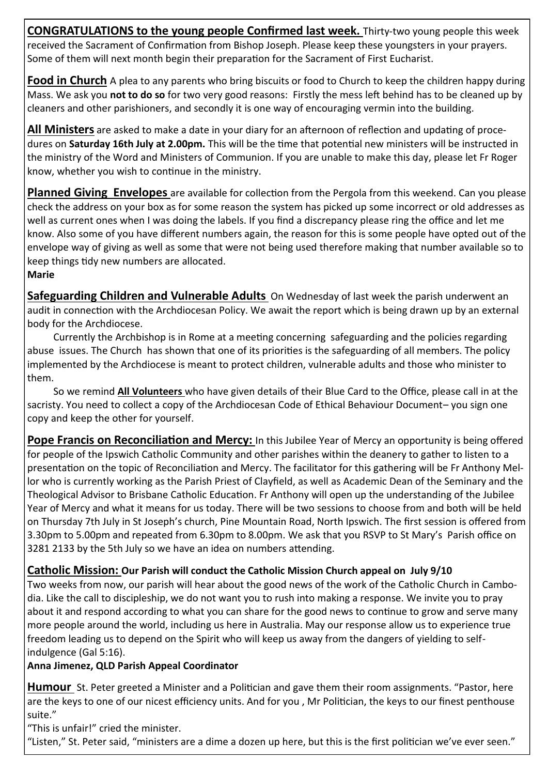**CONGRATULATIONS to the young people Confirmed last week.** Thirty-two young people this week received the Sacrament of Confirmation from Bishop Joseph. Please keep these youngsters in your prayers. Some of them will next month begin their preparation for the Sacrament of First Eucharist.

**Food in Church** A plea to any parents who bring biscuits or food to Church to keep the children happy during Mass. We ask you **not to do so** for two very good reasons: Firstly the mess left behind has to be cleaned up by cleaners and other parishioners, and secondly it is one way of encouraging vermin into the building.

**All Ministers** are asked to make a date in your diary for an afternoon of reflection and updating of procedures on **Saturday 16th July at 2.00pm.** This will be the time that potential new ministers will be instructed in the ministry of the Word and Ministers of Communion. If you are unable to make this day, please let Fr Roger know, whether you wish to continue in the ministry.

**Planned Giving Envelopes** are available for collection from the Pergola from this weekend. Can you please check the address on your box as for some reason the system has picked up some incorrect or old addresses as well as current ones when I was doing the labels. If you find a discrepancy please ring the office and let me know. Also some of you have different numbers again, the reason for this is some people have opted out of the envelope way of giving as well as some that were not being used therefore making that number available so to keep things tidy new numbers are allocated.

**Marie**

**Safeguarding Children and Vulnerable Adults** On Wednesday of last week the parish underwent an audit in connection with the Archdiocesan Policy. We await the report which is being drawn up by an external body for the Archdiocese.

Currently the Archbishop is in Rome at a meeting concerning safeguarding and the policies regarding abuse issues. The Church has shown that one of its priorities is the safeguarding of all members. The policy implemented by the Archdiocese is meant to protect children, vulnerable adults and those who minister to them.

So we remind **All Volunteers** who have given details of their Blue Card to the Office, please call in at the sacristy. You need to collect a copy of the Archdiocesan Code of Ethical Behaviour Document– you sign one copy and keep the other for yourself.

**Pope Francis on Reconciliation and Mercy:** In this Jubilee Year of Mercy an opportunity is being offered for people of the Ipswich Catholic Community and other parishes within the deanery to gather to listen to a presentation on the topic of Reconciliation and Mercy. The facilitator for this gathering will be Fr Anthony Mellor who is currently working as the Parish Priest of Clayfield, as well as Academic Dean of the Seminary and the Theological Advisor to Brisbane Catholic Education. Fr Anthony will open up the understanding of the Jubilee Year of Mercy and what it means for us today. There will be two sessions to choose from and both will be held on Thursday 7th July in St Joseph's church, Pine Mountain Road, North Ipswich. The first session is offered from 3.30pm to 5.00pm and repeated from 6.30pm to 8.00pm. We ask that you RSVP to St Mary's Parish office on 3281 2133 by the 5th July so we have an idea on numbers attending.

# **Catholic Mission: Our Parish will conduct the Catholic Mission Church appeal on July 9/10**

Two weeks from now, our parish will hear about the good news of the work of the Catholic Church in Cambodia. Like the call to discipleship, we do not want you to rush into making a response. We invite you to pray about it and respond according to what you can share for the good news to continue to grow and serve many more people around the world, including us here in Australia. May our response allow us to experience true freedom leading us to depend on the Spirit who will keep us away from the dangers of yielding to selfindulgence (Gal 5:16).

**Anna Jimenez, QLD Parish Appeal Coordinator**

**Humour** St. Peter greeted a Minister and a Politician and gave them their room assignments. "Pastor, here are the keys to one of our nicest efficiency units. And for you , Mr Politician, the keys to our finest penthouse suite."

"This is unfair!" cried the minister.

"Listen," St. Peter said, "ministers are a dime a dozen up here, but this is the first politician we've ever seen."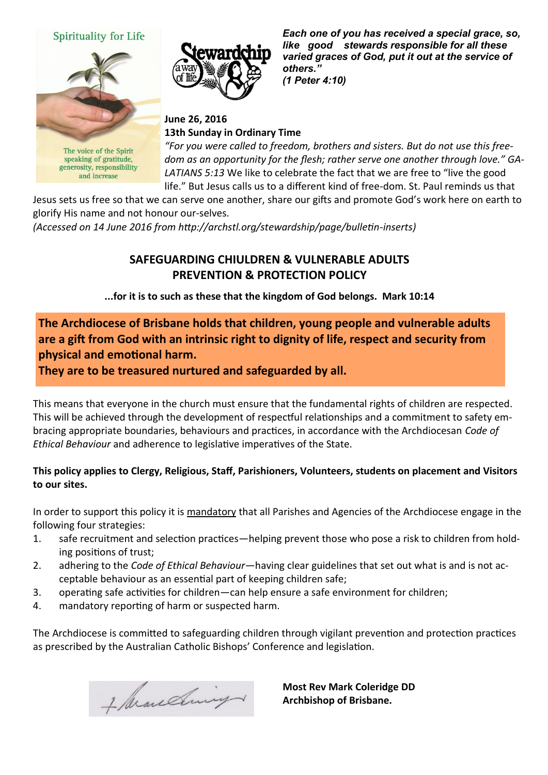#### Spirituality for Life



The voice of the Spirit speaking of gratitude, generosity, responsibility and increase



*Each one of you has received a special grace, so, like good stewards responsible for all these varied graces of God, put it out at the service of others." (1 Peter 4:10)*

#### **June 26, 2016 13th Sunday in Ordinary Time**

*"For you were called to freedom, brothers and sisters. But do not use this freedom as an opportunity for the flesh; rather serve one another through love." GA-LATIANS 5:13* We like to celebrate the fact that we are free to "live the good life." But Jesus calls us to a different kind of free-dom. St. Paul reminds us that

Jesus sets us free so that we can serve one another, share our gifts and promote God's work here on earth to glorify His name and not honour our-selves.

*(Accessed on 14 June 2016 from http://archstl.org/stewardship/page/bulletin-inserts)* 

## **SAFEGUARDING CHIULDREN & VULNERABLE ADULTS PREVENTION & PROTECTION POLICY**

**...for it is to such as these that the kingdom of God belongs. Mark 10:14** 

# **The Archdiocese of Brisbane holds that children, young people and vulnerable adults are a gift from God with an intrinsic right to dignity of life, respect and security from physical and emotional harm.**

**They are to be treasured nurtured and safeguarded by all.**

This means that everyone in the church must ensure that the fundamental rights of children are respected. This will be achieved through the development of respectful relationships and a commitment to safety embracing appropriate boundaries, behaviours and practices, in accordance with the Archdiocesan *Code of Ethical Behaviour* and adherence to legislative imperatives of the State.

#### **This policy applies to Clergy, Religious, Staff, Parishioners, Volunteers, students on placement and Visitors to our sites.**

In order to support this policy it is mandatory that all Parishes and Agencies of the Archdiocese engage in the following four strategies:

- 1. safe recruitment and selection practices—helping prevent those who pose a risk to children from holding positions of trust;
- 2. adhering to the *Code of Ethical Behaviour*—having clear guidelines that set out what is and is not acceptable behaviour as an essential part of keeping children safe;
- 3. operating safe activities for children—can help ensure a safe environment for children;
- 4. mandatory reporting of harm or suspected harm.

The Archdiocese is committed to safeguarding children through vigilant prevention and protection practices as prescribed by the Australian Catholic Bishops' Conference and legislation.

1 Avanding

**Most Rev Mark Coleridge DD Archbishop of Brisbane.**